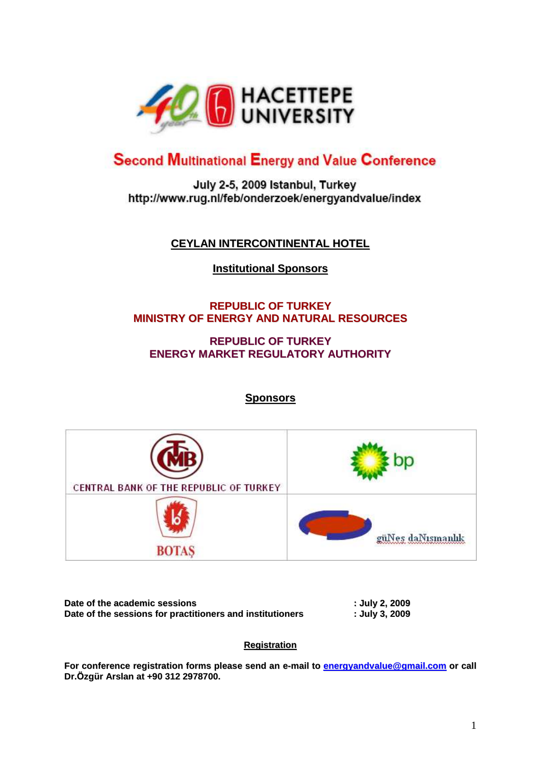

# **Second Multinational Energy and Value Conference**

July 2-5, 2009 Istanbul, Turkey http://www.rug.nl/feb/onderzoek/energyandvalue/index

# **CEYLAN INTERCONTINENTAL HOTEL**

# **Institutional Sponsors**

# **REPUBLIC OF TURKEY MINISTRY OF ENERGY AND NATURAL RESOURCES**

## **REPUBLIC OF TURKEY ENERGY MARKET REGULATORY AUTHORITY**

**Sponsors**



| Date of the academic sessions                             | : July 2, 2009 |
|-----------------------------------------------------------|----------------|
| Date of the sessions for practitioners and institutioners | : July 3, 2009 |

### **Registration**

**For conference registration forms please send an e-mail to [energyandvalue@gmail.com](mailto:energyandvalue@gmail.com) or call Dr.Özgür Arslan at +90 312 2978700.**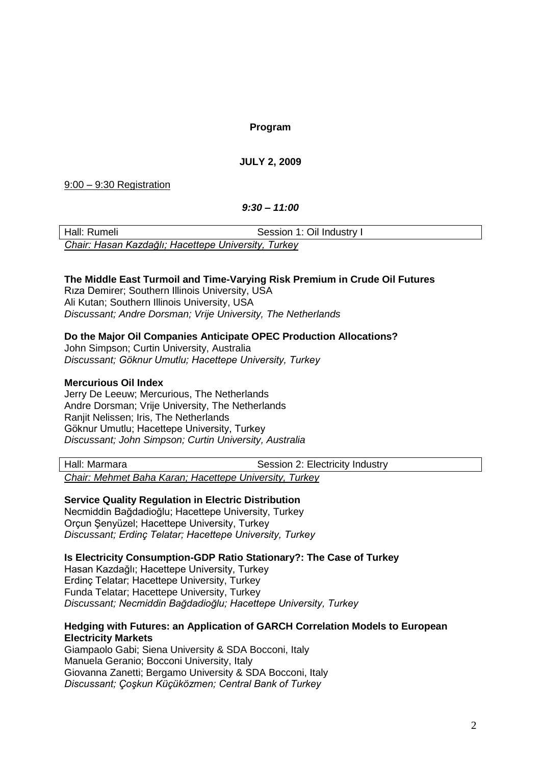**Program**

### **JULY 2, 2009**

9:00 – 9:30 Registration

*9:30 – 11:00*

| Hall: Rumeli                                        | Session 1: Oil Industry I |  |
|-----------------------------------------------------|---------------------------|--|
| Chair: Hasan Kazdağlı; Hacettepe University, Turkey |                           |  |

#### **The Middle East Turmoil and Time-Varying Risk Premium in Crude Oil Futures**

Rıza Demirer; Southern Illinois University, USA Ali Kutan; Southern Illinois University, USA *Discussant; Andre Dorsman; Vrije University, The Netherlands*

#### **Do the Major Oil Companies Anticipate OPEC Production Allocations?**

John Simpson; Curtin University, Australia *Discussant; Göknur Umutlu; Hacettepe University, Turkey*

#### **Mercurious Oil Index**

Jerry De Leeuw; Mercurious, The Netherlands Andre Dorsman; Vrije University, The Netherlands Ranjit Nelissen; Iris, The Netherlands Göknur Umutlu; Hacettepe University, Turkey *Discussant; John Simpson; Curtin University, Australia*

Hall: Marmara **National Session 2: Electricity Industry** 

*Chair: Mehmet Baha Karan; Hacettepe University, Turkey*

#### **Service Quality Regulation in Electric Distribution**

Necmiddin Bağdadioğlu; Hacettepe University, Turkey Orçun Şenyüzel; Hacettepe University, Turkey *Discussant; Erdinç Telatar; Hacettepe University, Turkey*

**Is Electricity Consumption-GDP Ratio Stationary?: The Case of Turkey**

Hasan Kazdağlı; Hacettepe University, Turkey Erdinç Telatar; Hacettepe University, Turkey Funda Telatar; Hacettepe University, Turkey *Discussant; Necmiddin Bağdadioğlu; Hacettepe University, Turkey*

#### **Hedging with Futures: an Application of GARCH Correlation Models to European Electricity Markets**

Giampaolo Gabi; Siena University & SDA Bocconi, Italy Manuela Geranio; Bocconi University, Italy Giovanna Zanetti; Bergamo University & SDA Bocconi, Italy *Discussant; Çoşkun Küçüközmen; Central Bank of Turkey*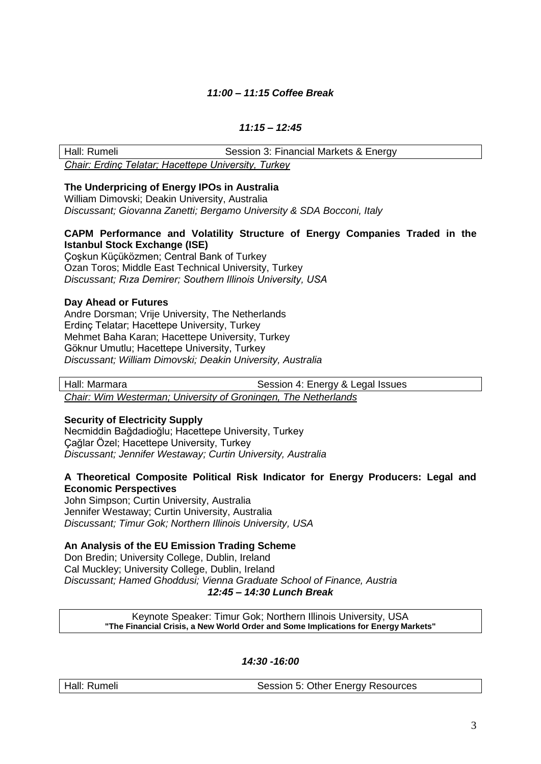#### *11:00 – 11:15 Coffee Break*

### *11:15 – 12:45*

Hall: Rumeli **Session 3: Financial Markets & Energy** *Chair: Erdinç Telatar; Hacettepe University, Turkey*

#### **The Underpricing of Energy IPOs in Australia**

William Dimovski; Deakin University, Australia *Discussant; Giovanna Zanetti; Bergamo University & SDA Bocconi, Italy*

#### **CAPM Performance and Volatility Structure of Energy Companies Traded in the Istanbul Stock Exchange (ISE)**

Çoşkun Küçüközmen; Central Bank of Turkey Ozan Toros; Middle East Technical University, Turkey *Discussant; Rıza Demirer; Southern Illinois University, USA*

#### **Day Ahead or Futures**

Andre Dorsman; Vrije University, The Netherlands Erdinç Telatar; Hacettepe University, Turkey Mehmet Baha Karan; Hacettepe University, Turkey Göknur Umutlu; Hacettepe University, Turkey *Discussant; William Dimovski; Deakin University, Australia*

Hall: Marmara **Network** Session 4: Energy & Legal Issues

*Chair: Wim Westerman; University of Groningen, The Netherlands*

#### **Security of Electricity Supply**

Necmiddin Bağdadioğlu; Hacettepe University, Turkey Çağlar Özel; Hacettepe University, Turkey *Discussant; Jennifer Westaway; Curtin University, Australia*

#### **A Theoretical Composite Political Risk Indicator for Energy Producers: Legal and Economic Perspectives**

John Simpson; Curtin University, Australia Jennifer Westaway; Curtin University, Australia *Discussant; Timur Gok; Northern Illinois University, USA*

#### **An Analysis of the EU Emission Trading Scheme**

Don Bredin; University College, Dublin, Ireland Cal Muckley; University College, Dublin, Ireland *Discussant; Hamed Ghoddusi; Vienna Graduate School of Finance, Austria 12:45 – 14:30 Lunch Break*

> Keynote Speaker: Timur Gok; Northern Illinois University, USA **"The Financial Crisis, a New World Order and Some Implications for Energy Markets"**

> > *14:30 -16:00*

| Hall: Rumeli |
|--------------|
|              |

Session 5: Other Energy Resources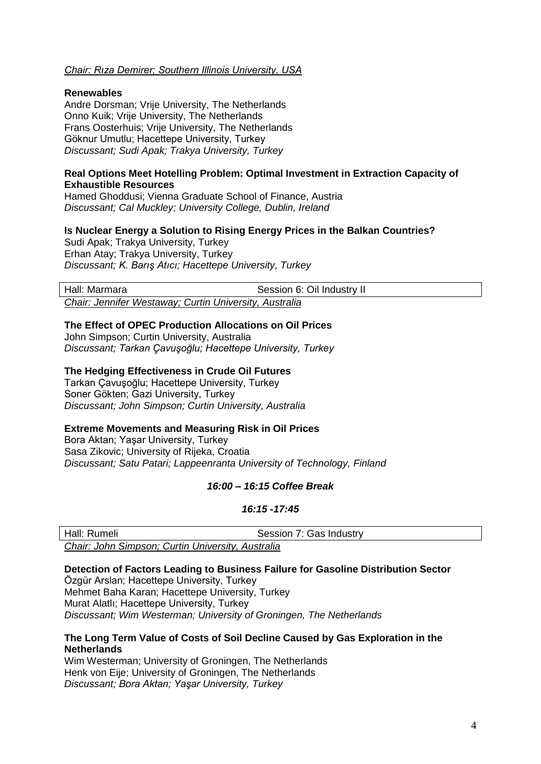#### *Chair: Rıza Demirer; Southern Illinois University, USA*

#### **Renewables**

Andre Dorsman; Vrije University, The Netherlands Onno Kuik; Vrije University, The Netherlands Frans Oosterhuis; Vrije University, The Netherlands Göknur Umutlu; Hacettepe University, Turkey *Discussant; Sudi Apak; Trakya University, Turkey*

#### **Real Options Meet Hotelling Problem: Optimal Investment in Extraction Capacity of Exhaustible Resources**

Hamed Ghoddusi; Vienna Graduate School of Finance, Austria *Discussant; Cal Muckley; University College, Dublin, Ireland*

#### **Is Nuclear Energy a Solution to Rising Energy Prices in the Balkan Countries?**

Sudi Apak; Trakya University, Turkey Erhan Atay; Trakya University, Turkey *Discussant; K. Barış Atıcı; Hacettepe University, Turkey*

Hall: Marmara **Market Election 12 and 13 and 14 and 14 session 6: Oil Industry II** 

*Chair: Jennifer Westaway; Curtin University, Australia*

#### **The Effect of OPEC Production Allocations on Oil Prices**

John Simpson; Curtin University, Australia *Discussant; Tarkan Çavuşoğlu; Hacettepe University, Turkey*

#### **The Hedging Effectiveness in Crude Oil Futures**

Tarkan Çavuşoğlu; Hacettepe University, Turkey Soner Gökten; Gazi University, Turkey *Discussant; John Simpson; Curtin University, Australia*

#### **Extreme Movements and Measuring Risk in Oil Prices**

Bora Aktan; Yaşar University, Turkey Sasa Zikovic; University of Rijeka, Croatia *Discussant; Satu Patari; Lappeenranta University of Technology, Finland*

#### *16:00 – 16:15 Coffee Break*

#### *16:15 -17:45*

| Hall: Rumeli                                      | Session 7: Gas Industry |  |  |
|---------------------------------------------------|-------------------------|--|--|
| Chair: John Simpson; Curtin University, Australia |                         |  |  |

**Detection of Factors Leading to Business Failure for Gasoline Distribution Sector** Özgür Arslan; Hacettepe University, Turkey Mehmet Baha Karan; Hacettepe University, Turkey Murat Alatlı; Hacettepe University, Turkey *Discussant; Wim Westerman; University of Groningen, The Netherlands*

#### **The Long Term Value of Costs of Soil Decline Caused by Gas Exploration in the Netherlands**

Wim Westerman; University of Groningen, The Netherlands Henk von Eije: University of Groningen, The Netherlands *Discussant; Bora Aktan; Yaşar University, Turkey*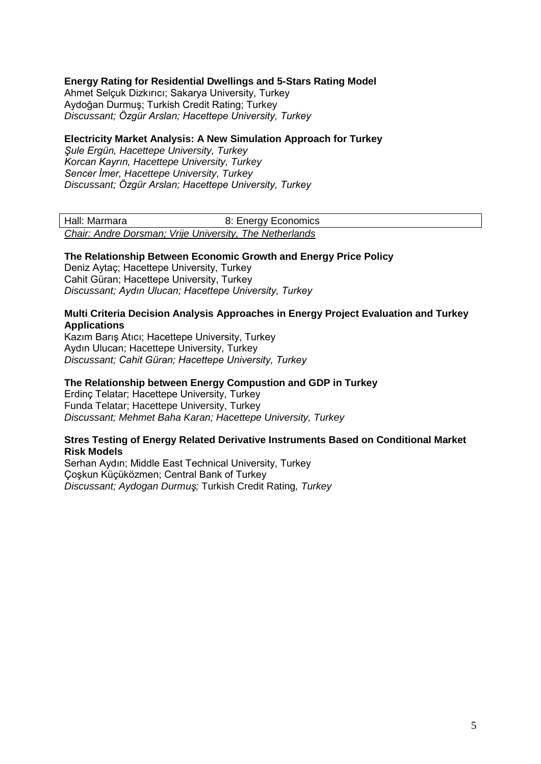#### **Energy Rating for Residential Dwellings and 5-Stars Rating Model**

Ahmet Selçuk Dizkırıcı; Sakarya University, Turkey Aydoğan Durmuş; Turkish Credit Rating; Turkey *Discussant; Özgür Arslan; Hacettepe University, Turkey*

#### **Electricity Market Analysis: A New Simulation Approach for Turkey**

*Şule Ergün, Hacettepe University, Turkey Korcan Kayrın, Hacettepe University, Turkey Sencer İmer, Hacettepe University, Turkey Discussant; Özgür Arslan; Hacettepe University, Turkey*

| Hall: Marmara                                           | 8: Energy Economics |  |
|---------------------------------------------------------|---------------------|--|
| Chair: Andre Dorsman; Vrije University, The Netherlands |                     |  |

#### **The Relationship Between Economic Growth and Energy Price Policy**

Deniz Aytaç; Hacettepe University, Turkey Cahit Güran; Hacettepe University, Turkey *Discussant; Aydın Ulucan; Hacettepe University, Turkey*

#### **Multi Criteria Decision Analysis Approaches in Energy Project Evaluation and Turkey Applications**

Kazım Barış Atıcı; Hacettepe University, Turkey Aydın Ulucan; Hacettepe University, Turkey *Discussant; Cahit Güran; Hacettepe University, Turkey*

#### **The Relationship between Energy Compustion and GDP in Turkey**

Erdinç Telatar; Hacettepe University, Turkey Funda Telatar; Hacettepe University, Turkey *Discussant; Mehmet Baha Karan; Hacettepe University, Turkey*

#### **Stres Testing of Energy Related Derivative Instruments Based on Conditional Market Risk Models**

Serhan Aydın; Middle East Technical University, Turkey Çoşkun Küçüközmen; Central Bank of Turkey *Discussant; Aydogan Durmuş;* Turkish Credit Rating*, Turkey*